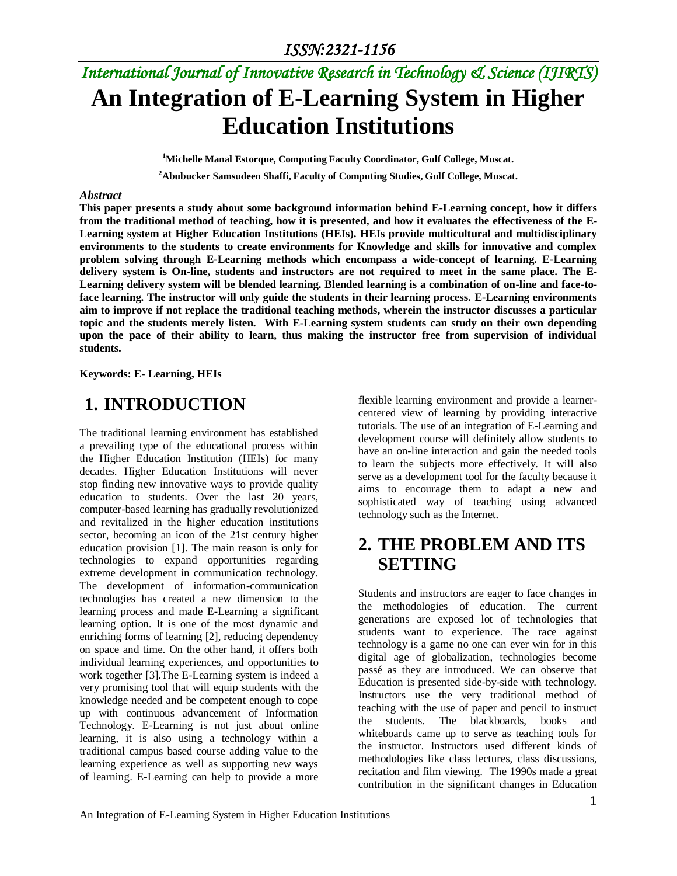# *International Journal of Innovative Research in Technology & Science (IJIRTS)* **An Integration of E-Learning System in Higher Education Institutions**

**<sup>1</sup>Michelle Manal Estorque, Computing Faculty Coordinator, Gulf College, Muscat.**

**<sup>2</sup>Abubucker Samsudeen Shaffi, Faculty of Computing Studies, Gulf College, Muscat.**

#### *Abstract*

**This paper presents a study about some background information behind E-Learning concept, how it differs from the traditional method of teaching, how it is presented, and how it evaluates the effectiveness of the E-Learning system at Higher Education Institutions (HEIs). HEIs provide multicultural and multidisciplinary environments to the students to create environments for Knowledge and skills for innovative and complex problem solving through E-Learning methods which encompass a wide-concept of learning. E-Learning delivery system is On-line, students and instructors are not required to meet in the same place. The E-Learning delivery system will be blended learning. Blended learning is a combination of on-line and face-toface learning. The instructor will only guide the students in their learning process. E-Learning environments aim to improve if not replace the traditional teaching methods, wherein the instructor discusses a particular topic and the students merely listen. With E-Learning system students can study on their own depending upon the pace of their ability to learn, thus making the instructor free from supervision of individual students.** 

#### **Keywords: E- Learning, HEIs**

### **1. INTRODUCTION**

The traditional learning environment has established a prevailing type of the educational process within the Higher Education Institution (HEIs) for many decades. Higher Education Institutions will never stop finding new innovative ways to provide quality education to students. Over the last 20 years, computer-based learning has gradually revolutionized and revitalized in the higher education institutions sector, becoming an icon of the 21st century higher education provision [1]. The main reason is only for technologies to expand opportunities regarding extreme development in communication technology. The development of information-communication technologies has created a new dimension to the learning process and made E-Learning a significant learning option. It is one of the most dynamic and enriching forms of learning [2], reducing dependency on space and time. On the other hand, it offers both individual learning experiences, and opportunities to work together [3].The E-Learning system is indeed a very promising tool that will equip students with the knowledge needed and be competent enough to cope up with continuous advancement of Information Technology. E-Learning is not just about online learning, it is also using a technology within a traditional campus based course adding value to the learning experience as well as supporting new ways of learning. E-Learning can help to provide a more flexible learning environment and provide a learnercentered view of learning by providing interactive tutorials. The use of an integration of E-Learning and development course will definitely allow students to have an on-line interaction and gain the needed tools to learn the subjects more effectively. It will also serve as a development tool for the faculty because it aims to encourage them to adapt a new and sophisticated way of teaching using advanced technology such as the Internet.

## **2. THE PROBLEM AND ITS SETTING**

Students and instructors are eager to face changes in the methodologies of education. The current generations are exposed lot of technologies that students want to experience. The race against technology is a game no one can ever win for in this digital age of globalization, technologies become passé as they are introduced. We can observe that Education is presented side-by-side with technology. Instructors use the very traditional method of teaching with the use of paper and pencil to instruct the students. The blackboards, books and whiteboards came up to serve as teaching tools for the instructor. Instructors used different kinds of methodologies like class lectures, class discussions, recitation and film viewing. The 1990s made a great contribution in the significant changes in Education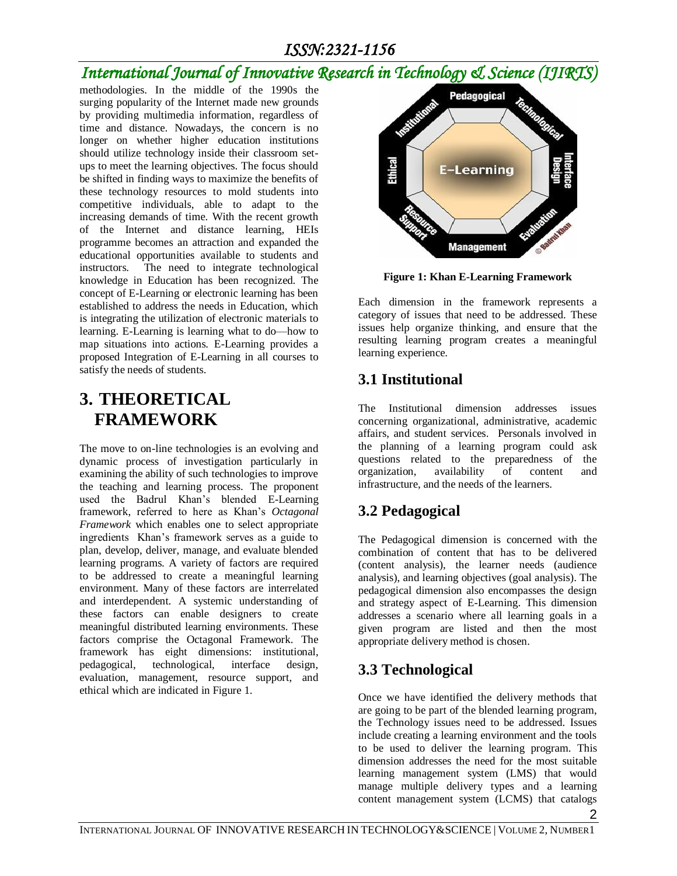## *International Journal of Innovative Research in Technology & Science (IJIRTS)*

methodologies. In the middle of the 1990s the surging popularity of the Internet made new grounds by providing multimedia information, regardless of time and distance. Nowadays, the concern is no longer on whether higher education institutions should utilize technology inside their classroom setups to meet the learning objectives. The focus should be shifted in finding ways to maximize the benefits of these technology resources to mold students into competitive individuals, able to adapt to the increasing demands of time. With the recent growth of the Internet and distance learning, HEIs programme becomes an attraction and expanded the educational opportunities available to students and instructors. The need to integrate technological knowledge in Education has been recognized. The concept of E-Learning or electronic learning has been established to address the needs in Education, which is integrating the utilization of electronic materials to learning. E-Learning is learning what to do—how to map situations into actions. E-Learning provides a proposed Integration of E-Learning in all courses to satisfy the needs of students.

## **3. THEORETICAL FRAMEWORK**

The move to on-line technologies is an evolving and dynamic process of investigation particularly in examining the ability of such technologies to improve the teaching and learning process. The proponent used the Badrul Khan's blended E-Learning framework, referred to here as Khan's *Octagonal Framework* which enables one to select appropriate ingredients Khan's framework serves as a guide to plan, develop, deliver, manage, and evaluate blended learning programs. A variety of factors are required to be addressed to create a meaningful learning environment. Many of these factors are interrelated and interdependent. A systemic understanding of these factors can enable designers to create meaningful distributed learning environments. These factors comprise the Octagonal Framework. The framework has eight dimensions: institutional, pedagogical, technological, interface design, evaluation, management, resource support, and ethical which are indicated in Figure 1.



**Figure 1: Khan E-Learning Framework**

Each dimension in the framework represents a category of issues that need to be addressed. These issues help organize thinking, and ensure that the resulting learning program creates a meaningful learning experience.

### **3.1 Institutional**

The Institutional dimension addresses issues concerning organizational, administrative, academic affairs, and student services. Personals involved in the planning of a learning program could ask questions related to the preparedness of the organization, availability of content and organization, availability of content and infrastructure, and the needs of the learners.

## **3.2 Pedagogical**

The Pedagogical dimension is concerned with the combination of content that has to be delivered (content analysis), the learner needs (audience analysis), and learning objectives (goal analysis). The pedagogical dimension also encompasses the design and strategy aspect of E-Learning. This dimension addresses a scenario where all learning goals in a given program are listed and then the most appropriate delivery method is chosen.

### **3.3 Technological**

2 Once we have identified the delivery methods that are going to be part of the blended learning program, the Technology issues need to be addressed. Issues include creating a learning environment and the tools to be used to deliver the learning program. This dimension addresses the need for the most suitable learning management system (LMS) that would manage multiple delivery types and a learning content management system (LCMS) that catalogs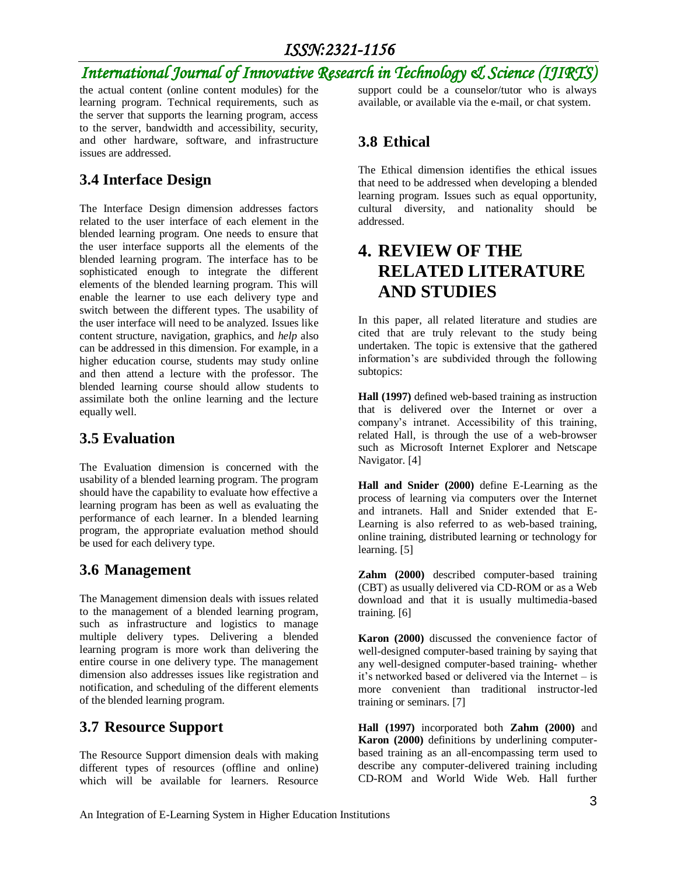## *International Journal of Innovative Research in Technology & Science (IJIRTS)*

the actual content (online content modules) for the learning program. Technical requirements, such as the server that supports the learning program, access to the server, bandwidth and accessibility, security, and other hardware, software, and infrastructure issues are addressed.

### **3.4 Interface Design**

The Interface Design dimension addresses factors related to the user interface of each element in the blended learning program. One needs to ensure that the user interface supports all the elements of the blended learning program. The interface has to be sophisticated enough to integrate the different elements of the blended learning program. This will enable the learner to use each delivery type and switch between the different types. The usability of the user interface will need to be analyzed. Issues like content structure, navigation, graphics, and *help* also can be addressed in this dimension. For example, in a higher education course, students may study online and then attend a lecture with the professor. The blended learning course should allow students to assimilate both the online learning and the lecture equally well.

#### **3.5 Evaluation**

The Evaluation dimension is concerned with the usability of a blended learning program. The program should have the capability to evaluate how effective a learning program has been as well as evaluating the performance of each learner. In a blended learning program, the appropriate evaluation method should be used for each delivery type.

### **3.6 Management**

The Management dimension deals with issues related to the management of a blended learning program, such as infrastructure and logistics to manage multiple delivery types. Delivering a blended learning program is more work than delivering the entire course in one delivery type. The management dimension also addresses issues like registration and notification, and scheduling of the different elements of the blended learning program.

#### **3.7 Resource Support**

The Resource Support dimension deals with making different types of resources (offline and online) which will be available for learners. Resource support could be a counselor/tutor who is always available, or available via the e-mail, or chat system.

### **3.8 Ethical**

The Ethical dimension identifies the ethical issues that need to be addressed when developing a blended learning program. Issues such as equal opportunity, cultural diversity, and nationality should be addressed.

### **4. REVIEW OF THE RELATED LITERATURE AND STUDIES**

In this paper, all related literature and studies are cited that are truly relevant to the study being undertaken. The topic is extensive that the gathered information's are subdivided through the following subtopics:

**Hall (1997)** defined web-based training as instruction that is delivered over the Internet or over a company's intranet. Accessibility of this training, related Hall, is through the use of a web-browser such as Microsoft Internet Explorer and Netscape Navigator. [4]

**Hall and Snider (2000)** define E-Learning as the process of learning via computers over the Internet and intranets. Hall and Snider extended that E-Learning is also referred to as web-based training, online training, distributed learning or technology for learning. [5]

**Zahm (2000)** described computer-based training (CBT) as usually delivered via CD-ROM or as a Web download and that it is usually multimedia-based training. [6]

**Karon (2000)** discussed the convenience factor of well-designed computer-based training by saying that any well-designed computer-based training- whether it's networked based or delivered via the Internet – is more convenient than traditional instructor-led training or seminars. [7]

**Hall (1997)** incorporated both **Zahm (2000)** and **Karon (2000)** definitions by underlining computerbased training as an all-encompassing term used to describe any computer-delivered training including CD-ROM and World Wide Web. Hall further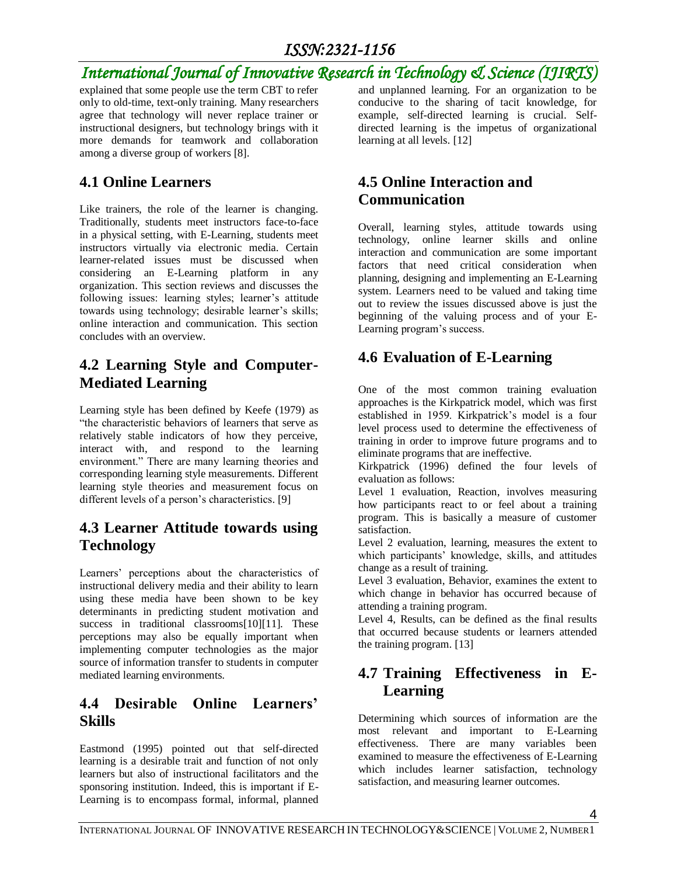## *International Journal of Innovative Research in Technology & Science (IJIRTS)*

explained that some people use the term CBT to refer only to old-time, text-only training. Many researchers agree that technology will never replace trainer or instructional designers, but technology brings with it more demands for teamwork and collaboration among a diverse group of workers [8].

### **4.1 Online Learners**

Like trainers, the role of the learner is changing. Traditionally, students meet instructors face-to-face in a physical setting, with E-Learning, students meet instructors virtually via electronic media. Certain learner-related issues must be discussed when considering an E-Learning platform in any organization. This section reviews and discusses the following issues: learning styles; learner's attitude towards using technology; desirable learner's skills; online interaction and communication. This section concludes with an overview.

### **4.2 Learning Style and Computer-Mediated Learning**

Learning style has been defined by Keefe (1979) as "the characteristic behaviors of learners that serve as relatively stable indicators of how they perceive, interact with, and respond to the learning environment." There are many learning theories and corresponding learning style measurements. Different learning style theories and measurement focus on different levels of a person's characteristics. [9]

### **4.3 Learner Attitude towards using Technology**

Learners' perceptions about the characteristics of instructional delivery media and their ability to learn using these media have been shown to be key determinants in predicting student motivation and success in traditional classrooms[10][11]. These perceptions may also be equally important when implementing computer technologies as the major source of information transfer to students in computer mediated learning environments.

### **4.4 Desirable Online Learners' Skills**

Eastmond (1995) pointed out that self-directed learning is a desirable trait and function of not only learners but also of instructional facilitators and the sponsoring institution. Indeed, this is important if E-Learning is to encompass formal, informal, planned

and unplanned learning. For an organization to be conducive to the sharing of tacit knowledge, for example, self-directed learning is crucial. Selfdirected learning is the impetus of organizational learning at all levels. [12]

### **4.5 Online Interaction and Communication**

Overall, learning styles, attitude towards using technology, online learner skills and online interaction and communication are some important factors that need critical consideration when planning, designing and implementing an E-Learning system. Learners need to be valued and taking time out to review the issues discussed above is just the beginning of the valuing process and of your E-Learning program's success.

### **4.6 Evaluation of E-Learning**

One of the most common training evaluation approaches is the Kirkpatrick model, which was first established in 1959. Kirkpatrick's model is a four level process used to determine the effectiveness of training in order to improve future programs and to eliminate programs that are ineffective.

Kirkpatrick (1996) defined the four levels of evaluation as follows:

Level 1 evaluation, Reaction, involves measuring how participants react to or feel about a training program. This is basically a measure of customer satisfaction.

Level 2 evaluation, learning, measures the extent to which participants' knowledge, skills, and attitudes change as a result of training.

Level 3 evaluation, Behavior, examines the extent to which change in behavior has occurred because of attending a training program.

Level 4, Results, can be defined as the final results that occurred because students or learners attended the training program. [13]

### **4.7 Training Effectiveness in E-Learning**

Determining which sources of information are the most relevant and important to E-Learning effectiveness. There are many variables been examined to measure the effectiveness of E-Learning which includes learner satisfaction, technology satisfaction, and measuring learner outcomes.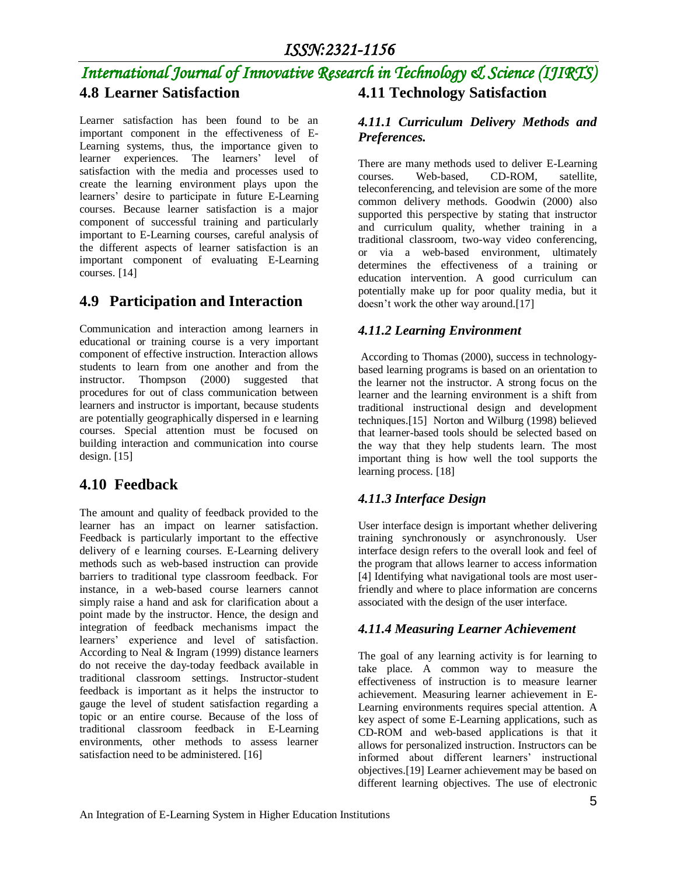#### *International Journal of Innovative Research in Technology & Science (IJIRTS)* **4.8 Learner Satisfaction 4.11 Technology Satisfaction**

Learner satisfaction has been found to be an important component in the effectiveness of E-Learning systems, thus, the importance given to learner experiences. The learners' level of satisfaction with the media and processes used to create the learning environment plays upon the learners' desire to participate in future E-Learning courses. Because learner satisfaction is a major component of successful training and particularly important to E-Learning courses, careful analysis of the different aspects of learner satisfaction is an important component of evaluating E-Learning courses. [14]

### **4.9 Participation and Interaction**

Communication and interaction among learners in educational or training course is a very important component of effective instruction. Interaction allows students to learn from one another and from the instructor. Thompson (2000) suggested that procedures for out of class communication between learners and instructor is important, because students are potentially geographically dispersed in e learning courses. Special attention must be focused on building interaction and communication into course design.  $[15]$ 

#### **4.10 Feedback**

The amount and quality of feedback provided to the learner has an impact on learner satisfaction. Feedback is particularly important to the effective delivery of e learning courses. E-Learning delivery methods such as web-based instruction can provide barriers to traditional type classroom feedback. For instance, in a web-based course learners cannot simply raise a hand and ask for clarification about a point made by the instructor. Hence, the design and integration of feedback mechanisms impact the learners' experience and level of satisfaction. According to Neal & Ingram (1999) distance learners do not receive the day-today feedback available in traditional classroom settings. Instructor-student feedback is important as it helps the instructor to gauge the level of student satisfaction regarding a topic or an entire course. Because of the loss of traditional classroom feedback in E-Learning environments, other methods to assess learner satisfaction need to be administered. [16]

#### *4.11.1 Curriculum Delivery Methods and Preferences.*

There are many methods used to deliver E-Learning courses. Web-based, CD-ROM, satellite, teleconferencing, and television are some of the more common delivery methods. Goodwin (2000) also supported this perspective by stating that instructor and curriculum quality, whether training in a traditional classroom, two-way video conferencing, or via a web-based environment, ultimately determines the effectiveness of a training or education intervention. A good curriculum can potentially make up for poor quality media, but it doesn't work the other way around.[17]

#### *4.11.2 Learning Environment*

According to Thomas (2000), success in technologybased learning programs is based on an orientation to the learner not the instructor. A strong focus on the learner and the learning environment is a shift from traditional instructional design and development techniques.[15] Norton and Wilburg (1998) believed that learner-based tools should be selected based on the way that they help students learn. The most important thing is how well the tool supports the learning process. [18]

#### *4.11.3 Interface Design*

User interface design is important whether delivering training synchronously or asynchronously. User interface design refers to the overall look and feel of the program that allows learner to access information [4] Identifying what navigational tools are most userfriendly and where to place information are concerns associated with the design of the user interface.

#### *4.11.4 Measuring Learner Achievement*

The goal of any learning activity is for learning to take place. A common way to measure the effectiveness of instruction is to measure learner achievement. Measuring learner achievement in E-Learning environments requires special attention. A key aspect of some E-Learning applications, such as CD-ROM and web-based applications is that it allows for personalized instruction. Instructors can be informed about different learners' instructional objectives.[19] Learner achievement may be based on different learning objectives. The use of electronic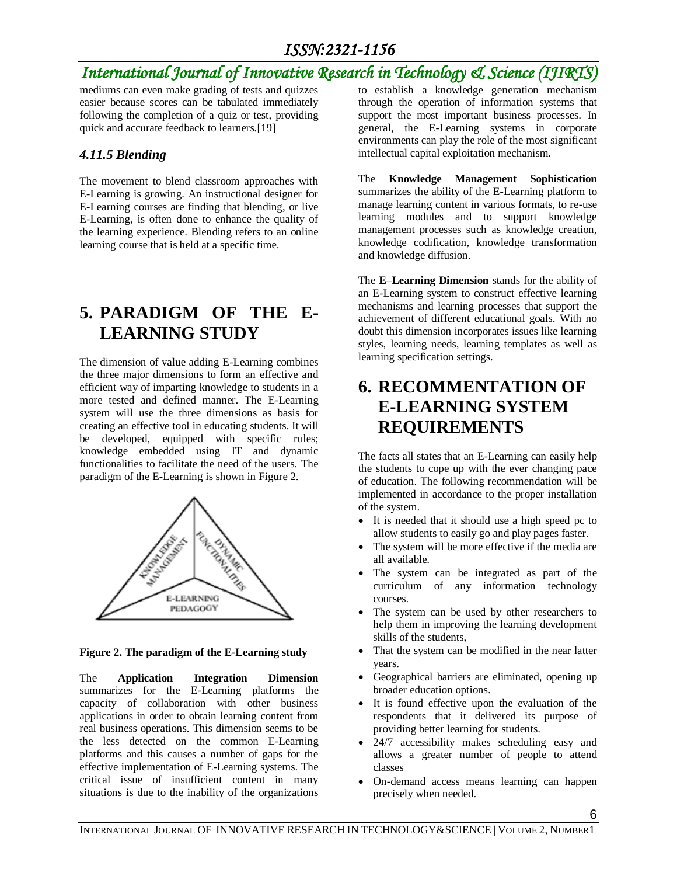## *International Journal of Innovative Research in Technology & Science (IJIRTS)*

mediums can even make grading of tests and quizzes easier because scores can be tabulated immediately following the completion of a quiz or test, providing quick and accurate feedback to learners.[19]

#### *4.11.5 Blending*

The movement to blend classroom approaches with E-Learning is growing. An instructional designer for E-Learning courses are finding that blending, or live E-Learning, is often done to enhance the quality of the learning experience. Blending refers to an online learning course that is held at a specific time.

## **5. PARADIGM OF THE E-LEARNING STUDY**

The dimension of value adding E-Learning combines the three major dimensions to form an effective and efficient way of imparting knowledge to students in a more tested and defined manner. The E-Learning system will use the three dimensions as basis for creating an effective tool in educating students. It will be developed, equipped with specific rules; knowledge embedded using IT and dynamic functionalities to facilitate the need of the users. The paradigm of the E-Learning is shown in Figure 2.



**Figure 2. The paradigm of the E-Learning study**

The **Application Integration Dimension**  summarizes for the E-Learning platforms the capacity of collaboration with other business applications in order to obtain learning content from real business operations. This dimension seems to be the less detected on the common E-Learning platforms and this causes a number of gaps for the effective implementation of E-Learning systems. The critical issue of insufficient content in many situations is due to the inability of the organizations

to establish a knowledge generation mechanism through the operation of information systems that support the most important business processes. In general, the E-Learning systems in corporate environments can play the role of the most significant intellectual capital exploitation mechanism.

The **Knowledge Management Sophistication**  summarizes the ability of the E-Learning platform to manage learning content in various formats, to re-use learning modules and to support knowledge management processes such as knowledge creation, knowledge codification, knowledge transformation and knowledge diffusion.

The **E–Learning Dimension** stands for the ability of an E-Learning system to construct effective learning mechanisms and learning processes that support the achievement of different educational goals. With no doubt this dimension incorporates issues like learning styles, learning needs, learning templates as well as learning specification settings.

## **6. RECOMMENTATION OF E-LEARNING SYSTEM REQUIREMENTS**

The facts all states that an E-Learning can easily help the students to cope up with the ever changing pace of education. The following recommendation will be implemented in accordance to the proper installation of the system.

- It is needed that it should use a high speed pc to allow students to easily go and play pages faster.
- The system will be more effective if the media are all available.
- The system can be integrated as part of the curriculum of any information technology courses.
- The system can be used by other researchers to help them in improving the learning development skills of the students,
- That the system can be modified in the near latter years.
- Geographical barriers are eliminated, opening up broader education options.
- It is found effective upon the evaluation of the respondents that it delivered its purpose of providing better learning for students.
- 24/7 accessibility makes scheduling easy and allows a greater number of people to attend classes
- On-demand access means learning can happen precisely when needed.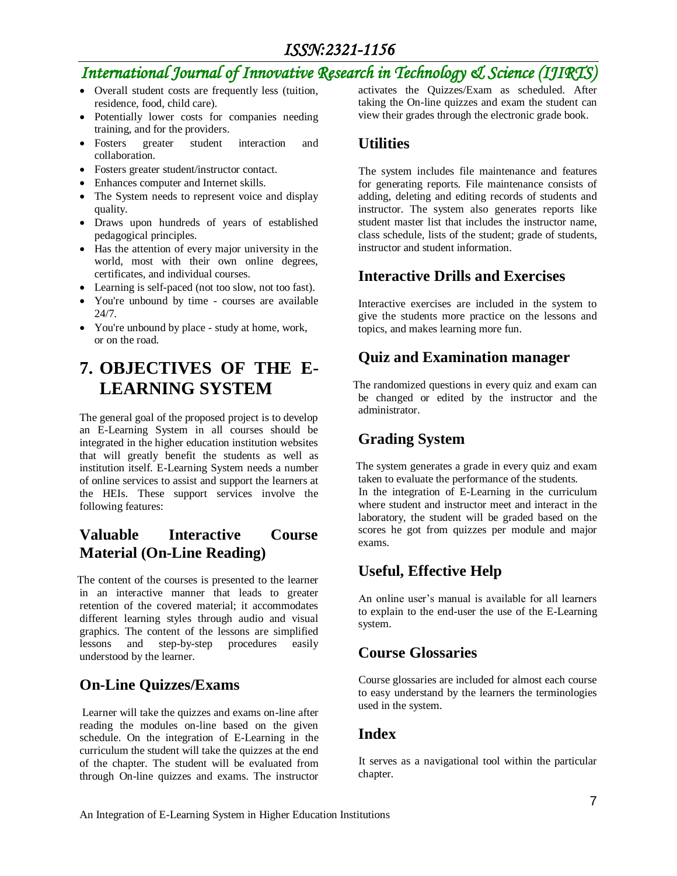### *International Journal of Innovative Research in Technology & Science (IJIRTS)*

- Overall student costs are frequently less (tuition, residence, food, child care).
- Potentially lower costs for companies needing training, and for the providers.
- Fosters greater student interaction and collaboration.
- Fosters greater student/instructor contact.
- Enhances computer and Internet skills.
- The System needs to represent voice and display quality.
- Draws upon hundreds of years of established pedagogical principles.
- Has the attention of every major university in the world, most with their own online degrees, certificates, and individual courses.
- Learning is self-paced (not too slow, not too fast).
- You're unbound by time courses are available 24/7.
- You're unbound by place study at home, work, or on the road.

## **7. OBJECTIVES OF THE E-LEARNING SYSTEM**

The general goal of the proposed project is to develop an E-Learning System in all courses should be integrated in the higher education institution websites that will greatly benefit the students as well as institution itself. E-Learning System needs a number of online services to assist and support the learners at the HEIs. These support services involve the following features:

### **Valuable Interactive Course Material (On-Line Reading)**

The content of the courses is presented to the learner in an interactive manner that leads to greater retention of the covered material; it accommodates different learning styles through audio and visual graphics. The content of the lessons are simplified lessons and step-by-step procedures easily understood by the learner.

### **On-Line Quizzes/Exams**

Learner will take the quizzes and exams on-line after reading the modules on-line based on the given schedule. On the integration of E-Learning in the curriculum the student will take the quizzes at the end of the chapter. The student will be evaluated from through On-line quizzes and exams. The instructor

activates the Quizzes/Exam as scheduled. After taking the On-line quizzes and exam the student can view their grades through the electronic grade book.

#### **Utilities**

 The system includes file maintenance and features for generating reports. File maintenance consists of adding, deleting and editing records of students and instructor. The system also generates reports like student master list that includes the instructor name, class schedule, lists of the student; grade of students, instructor and student information.

### **Interactive Drills and Exercises**

Interactive exercises are included in the system to give the students more practice on the lessons and topics, and makes learning more fun.

### **Quiz and Examination manager**

The randomized questions in every quiz and exam can be changed or edited by the instructor and the administrator.

### **Grading System**

The system generates a grade in every quiz and exam taken to evaluate the performance of the students. In the integration of E-Learning in the curriculum where student and instructor meet and interact in the laboratory, the student will be graded based on the scores he got from quizzes per module and major exams.

### **Useful, Effective Help**

 An online user's manual is available for all learners to explain to the end-user the use of the E-Learning system.

### **Course Glossaries**

 Course glossaries are included for almost each course to easy understand by the learners the terminologies used in the system.

#### **Index**

 It serves as a navigational tool within the particular chapter.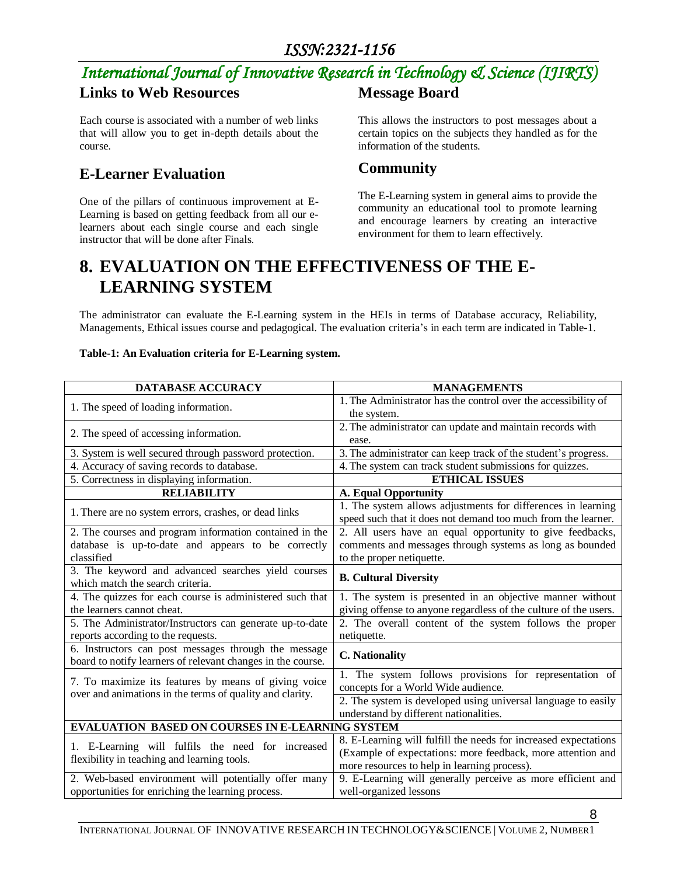## *International Journal of Innovative Research in Technology & Science (IJIRTS)*

### **Links to Web Resources**

 Each course is associated with a number of web links that will allow you to get in-depth details about the course.

### **E-Learner Evaluation**

One of the pillars of continuous improvement at E-Learning is based on getting feedback from all our elearners about each single course and each single instructor that will be done after Finals.

#### **Message Board**

This allows the instructors to post messages about a certain topics on the subjects they handled as for the information of the students.

### **Community**

The E-Learning system in general aims to provide the community an educational tool to promote learning and encourage learners by creating an interactive environment for them to learn effectively.

## **8. EVALUATION ON THE EFFECTIVENESS OF THE E-LEARNING SYSTEM**

The administrator can evaluate the E-Learning system in the HEIs in terms of Database accuracy, Reliability, Managements, Ethical issues course and pedagogical. The evaluation criteria's in each term are indicated in Table-1.

#### **Table-1: An Evaluation criteria for E-Learning system.**

| DATABASE ACCURACY                                                                                                   | <b>MANAGEMENTS</b>                                               |
|---------------------------------------------------------------------------------------------------------------------|------------------------------------------------------------------|
| 1. The speed of loading information.                                                                                | 1. The Administrator has the control over the accessibility of   |
|                                                                                                                     | the system.                                                      |
| 2. The speed of accessing information.                                                                              | 2. The administrator can update and maintain records with        |
|                                                                                                                     | ease.                                                            |
| 3. System is well secured through password protection.                                                              | 3. The administrator can keep track of the student's progress.   |
| 4. Accuracy of saving records to database.                                                                          | 4. The system can track student submissions for quizzes.         |
| 5. Correctness in displaying information.                                                                           | <b>ETHICAL ISSUES</b>                                            |
| <b>RELIABILITY</b>                                                                                                  | <b>A. Equal Opportunity</b>                                      |
| 1. There are no system errors, crashes, or dead links                                                               | 1. The system allows adjustments for differences in learning     |
|                                                                                                                     | speed such that it does not demand too much from the learner.    |
| 2. The courses and program information contained in the                                                             | 2. All users have an equal opportunity to give feedbacks,        |
| database is up-to-date and appears to be correctly                                                                  | comments and messages through systems as long as bounded         |
| classified                                                                                                          | to the proper netiquette.                                        |
| 3. The keyword and advanced searches yield courses<br>which match the search criteria.                              | <b>B. Cultural Diversity</b>                                     |
| 4. The quizzes for each course is administered such that                                                            | 1. The system is presented in an objective manner without        |
| the learners cannot cheat.                                                                                          | giving offense to anyone regardless of the culture of the users. |
| 5. The Administrator/Instructors can generate up-to-date                                                            | 2. The overall content of the system follows the proper          |
| reports according to the requests.                                                                                  | netiquette.                                                      |
| 6. Instructors can post messages through the message<br>board to notify learners of relevant changes in the course. | <b>C.</b> Nationality                                            |
| 7. To maximize its features by means of giving voice<br>over and animations in the terms of quality and clarity.    | 1. The system follows provisions for representation of           |
|                                                                                                                     | concepts for a World Wide audience.                              |
|                                                                                                                     | 2. The system is developed using universal language to easily    |
|                                                                                                                     | understand by different nationalities.                           |
| <b>EVALUATION BASED ON COURSES IN E-LEARNING SYSTEM</b>                                                             |                                                                  |
| 1. E-Learning will fulfils the need for increased<br>flexibility in teaching and learning tools.                    | 8. E-Learning will fulfill the needs for increased expectations  |
|                                                                                                                     | (Example of expectations: more feedback, more attention and      |
|                                                                                                                     | more resources to help in learning process).                     |
| 2. Web-based environment will potentially offer many                                                                | 9. E-Learning will generally perceive as more efficient and      |
| opportunities for enriching the learning process.                                                                   | well-organized lessons                                           |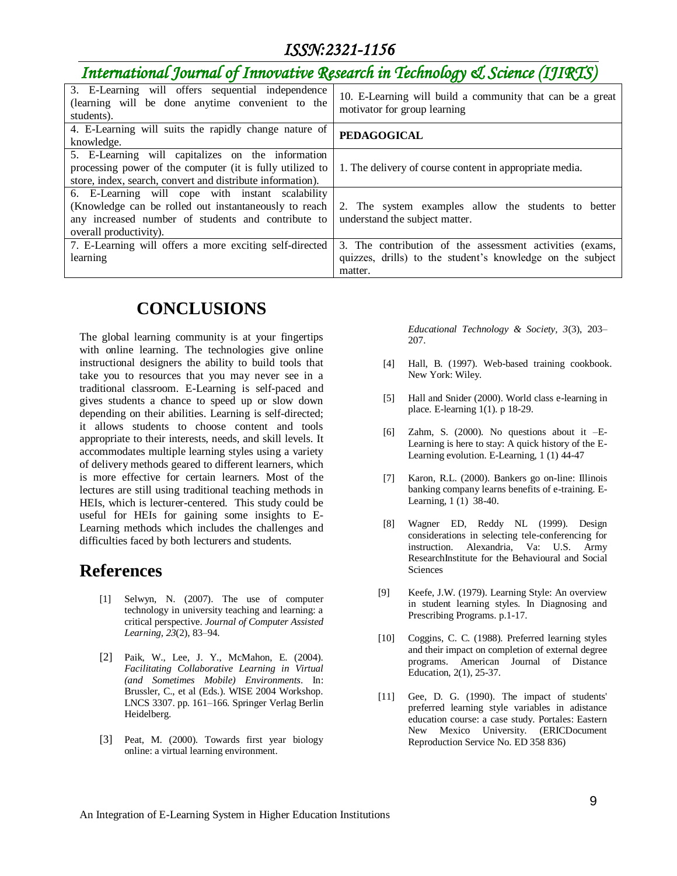## *International Journal of Innovative Research in Technology & Science (IJIRTS)*

| 3. E-Learning will offers sequential independence<br>(learning will be done anytime convenient to the<br>students).                                                                        | 10. E-Learning will build a community that can be a great<br>motivator for group learning |
|--------------------------------------------------------------------------------------------------------------------------------------------------------------------------------------------|-------------------------------------------------------------------------------------------|
| 4. E-Learning will suits the rapidly change nature of                                                                                                                                      | <b>PEDAGOGICAL</b>                                                                        |
| knowledge.                                                                                                                                                                                 |                                                                                           |
| 5. E-Learning will capitalizes on the information<br>processing power of the computer (it is fully utilized to<br>store, index, search, convert and distribute information).               | 1. The delivery of course content in appropriate media.                                   |
| 6. E-Learning will cope with instant scalability<br>(Knowledge can be rolled out instantaneously to reach)<br>any increased number of students and contribute to<br>overall productivity). | 2. The system examples allow the students to better<br>understand the subject matter.     |
| 7. E-Learning will offers a more exciting self-directed                                                                                                                                    | 3. The contribution of the assessment activities (exams,                                  |
| learning                                                                                                                                                                                   | quizzes, drills) to the student's knowledge on the subject<br>matter.                     |

## **CONCLUSIONS**

The global learning community is at your fingertips with online learning. The technologies give online instructional designers the ability to build tools that take you to resources that you may never see in a traditional classroom. E-Learning is self-paced and gives students a chance to speed up or slow down depending on their abilities. Learning is self-directed; it allows students to choose content and tools appropriate to their interests, needs, and skill levels. It accommodates multiple learning styles using a variety of delivery methods geared to different learners, which is more effective for certain learners. Most of the lectures are still using traditional teaching methods in HEIs, which is lecturer-centered. This study could be useful for HEIs for gaining some insights to E-Learning methods which includes the challenges and difficulties faced by both lecturers and students.

### **References**

- [1] Selwyn, N. (2007). The use of computer technology in university teaching and learning: a critical perspective. *Journal of Computer Assisted Learning, 23*(2), 83–94.
- [2] Paik, W., Lee, J. Y., McMahon, E. (2004). *Facilitating Collaborative Learning in Virtual (and Sometimes Mobile) Environments*. In: Brussler, C., et al (Eds.). WISE 2004 Workshop. LNCS 3307. pp. 161–166. Springer Verlag Berlin Heidelberg.
- [3] Peat, M. (2000). Towards first year biology online: a virtual learning environment.

*Educational Technology & Society, 3*(3), 203– 207.

- [4] Hall, B. (1997). Web-based training cookbook. New York: Wiley.
- [5] Hall and Snider (2000). World class e-learning in place. E-learning 1(1). p 18-29.
- [6] Zahm, S. (2000). No questions about it –E-Learning is here to stay: A quick history of the E-Learning evolution. E-Learning, 1 (1) 44-47
- [7] Karon, R.L. (2000). Bankers go on-line: Illinois banking company learns benefits of e-training. E-Learning, 1 (1) 38-40.
- [8] Wagner ED, Reddy NL (1999). Design considerations in selecting tele-conferencing for instruction. Alexandria, Va: U.S. Army ResearchInstitute for the Behavioural and Social Sciences
- [9] Keefe, J.W. (1979). Learning Style: An overview in student learning styles. In Diagnosing and Prescribing Programs. p.1-17.
- [10] Coggins, C. C. (1988). Preferred learning styles and their impact on completion of external degree programs. American Journal of Distance Education, 2(1), 25-37.
- [11] Gee, D. G. (1990). The impact of students' preferred learning style variables in adistance education course: a case study. Portales: Eastern New Mexico University. (ERICDocument Reproduction Service No. ED 358 836)